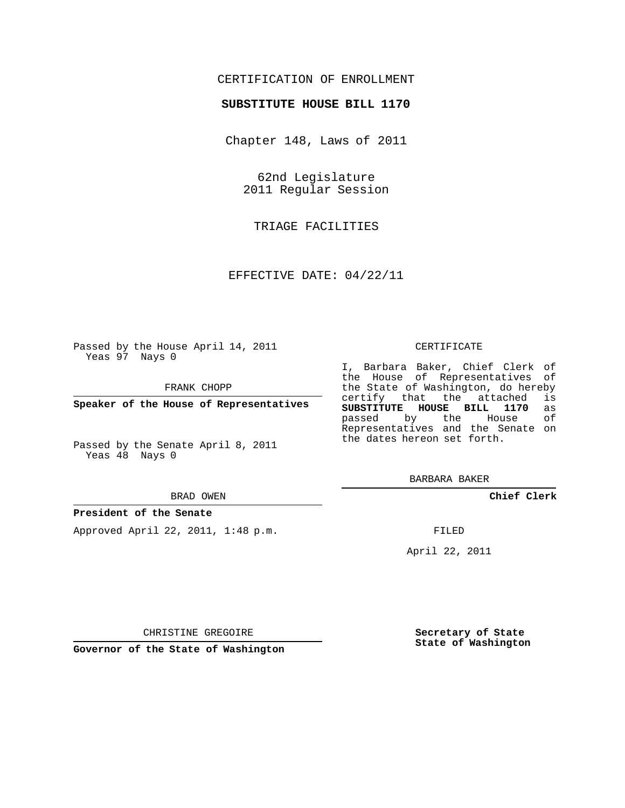# CERTIFICATION OF ENROLLMENT

## **SUBSTITUTE HOUSE BILL 1170**

Chapter 148, Laws of 2011

62nd Legislature 2011 Regular Session

TRIAGE FACILITIES

EFFECTIVE DATE: 04/22/11

Passed by the House April 14, 2011 Yeas 97 Nays 0

FRANK CHOPP

**Speaker of the House of Representatives**

Passed by the Senate April 8, 2011 Yeas 48 Nays 0

#### BRAD OWEN

### **President of the Senate**

Approved April 22, 2011, 1:48 p.m.

#### CERTIFICATE

I, Barbara Baker, Chief Clerk of the House of Representatives of the State of Washington, do hereby<br>certify that the attached is certify that the attached **SUBSTITUTE HOUSE BILL 1170** as passed by the House Representatives and the Senate on the dates hereon set forth.

BARBARA BAKER

**Chief Clerk**

FILED

April 22, 2011

**Governor of the State of Washington**

CHRISTINE GREGOIRE

**Secretary of State State of Washington**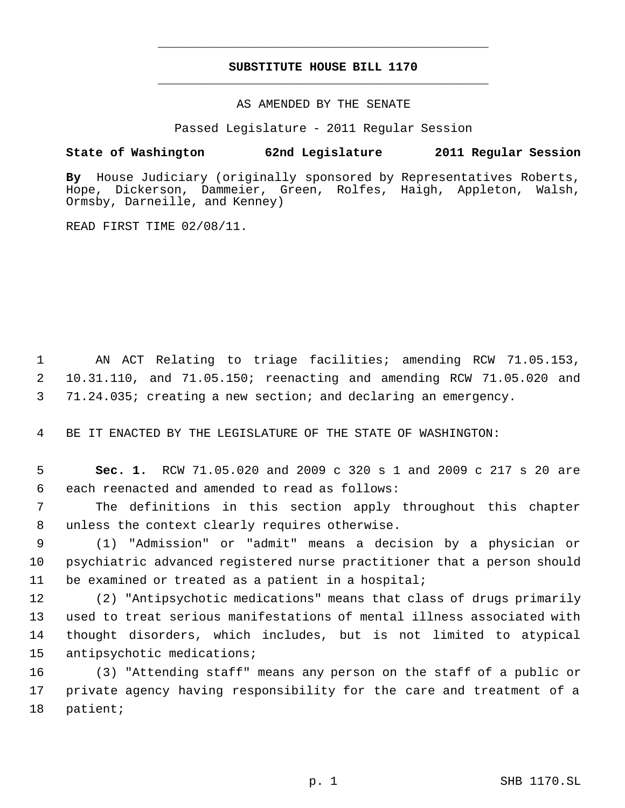# **SUBSTITUTE HOUSE BILL 1170** \_\_\_\_\_\_\_\_\_\_\_\_\_\_\_\_\_\_\_\_\_\_\_\_\_\_\_\_\_\_\_\_\_\_\_\_\_\_\_\_\_\_\_\_\_

\_\_\_\_\_\_\_\_\_\_\_\_\_\_\_\_\_\_\_\_\_\_\_\_\_\_\_\_\_\_\_\_\_\_\_\_\_\_\_\_\_\_\_\_\_

## AS AMENDED BY THE SENATE

Passed Legislature - 2011 Regular Session

# **State of Washington 62nd Legislature 2011 Regular Session**

**By** House Judiciary (originally sponsored by Representatives Roberts, Hope, Dickerson, Dammeier, Green, Rolfes, Haigh, Appleton, Walsh, Ormsby, Darneille, and Kenney)

READ FIRST TIME 02/08/11.

 AN ACT Relating to triage facilities; amending RCW 71.05.153, 10.31.110, and 71.05.150; reenacting and amending RCW 71.05.020 and 71.24.035; creating a new section; and declaring an emergency.

BE IT ENACTED BY THE LEGISLATURE OF THE STATE OF WASHINGTON:

 **Sec. 1.** RCW 71.05.020 and 2009 c 320 s 1 and 2009 c 217 s 20 are each reenacted and amended to read as follows:

 The definitions in this section apply throughout this chapter unless the context clearly requires otherwise.

 (1) "Admission" or "admit" means a decision by a physician or psychiatric advanced registered nurse practitioner that a person should be examined or treated as a patient in a hospital;

 (2) "Antipsychotic medications" means that class of drugs primarily used to treat serious manifestations of mental illness associated with thought disorders, which includes, but is not limited to atypical antipsychotic medications;

 (3) "Attending staff" means any person on the staff of a public or private agency having responsibility for the care and treatment of a patient;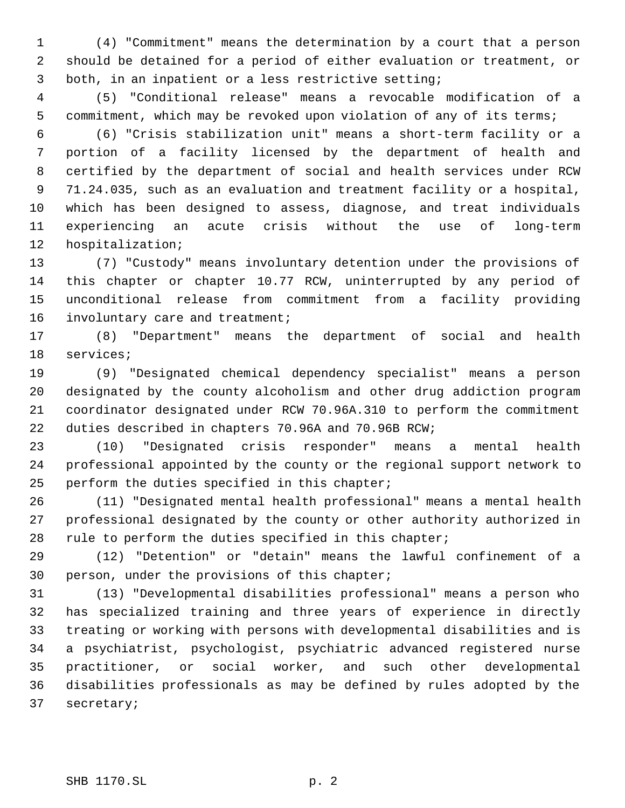(4) "Commitment" means the determination by a court that a person should be detained for a period of either evaluation or treatment, or both, in an inpatient or a less restrictive setting;

 (5) "Conditional release" means a revocable modification of a commitment, which may be revoked upon violation of any of its terms;

 (6) "Crisis stabilization unit" means a short-term facility or a portion of a facility licensed by the department of health and certified by the department of social and health services under RCW 71.24.035, such as an evaluation and treatment facility or a hospital, which has been designed to assess, diagnose, and treat individuals experiencing an acute crisis without the use of long-term hospitalization;

 (7) "Custody" means involuntary detention under the provisions of this chapter or chapter 10.77 RCW, uninterrupted by any period of unconditional release from commitment from a facility providing 16 involuntary care and treatment;

 (8) "Department" means the department of social and health services;

 (9) "Designated chemical dependency specialist" means a person designated by the county alcoholism and other drug addiction program coordinator designated under RCW 70.96A.310 to perform the commitment duties described in chapters 70.96A and 70.96B RCW;

 (10) "Designated crisis responder" means a mental health professional appointed by the county or the regional support network to perform the duties specified in this chapter;

 (11) "Designated mental health professional" means a mental health professional designated by the county or other authority authorized in 28 rule to perform the duties specified in this chapter;

 (12) "Detention" or "detain" means the lawful confinement of a person, under the provisions of this chapter;

 (13) "Developmental disabilities professional" means a person who has specialized training and three years of experience in directly treating or working with persons with developmental disabilities and is a psychiatrist, psychologist, psychiatric advanced registered nurse practitioner, or social worker, and such other developmental disabilities professionals as may be defined by rules adopted by the secretary;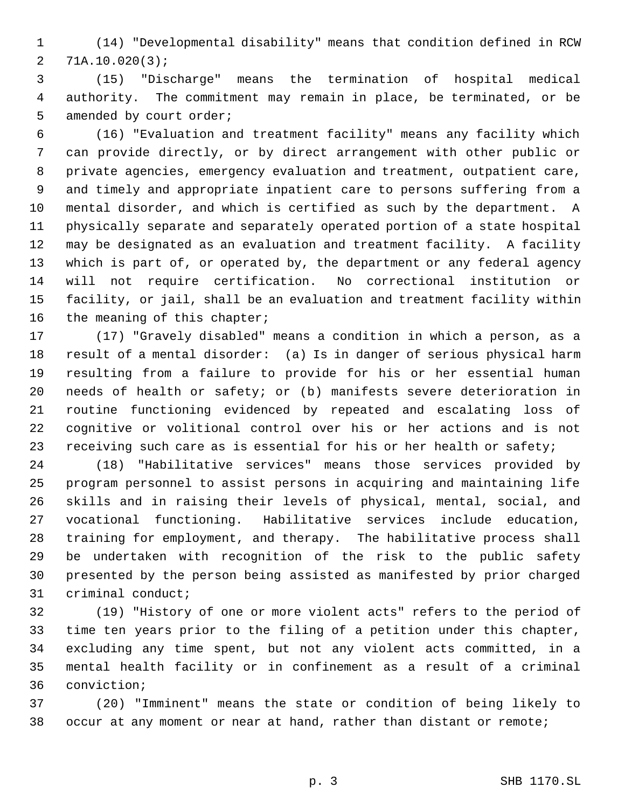(14) "Developmental disability" means that condition defined in RCW 71A.10.020(3);

 (15) "Discharge" means the termination of hospital medical authority. The commitment may remain in place, be terminated, or be 5 amended by court order;

 (16) "Evaluation and treatment facility" means any facility which can provide directly, or by direct arrangement with other public or private agencies, emergency evaluation and treatment, outpatient care, and timely and appropriate inpatient care to persons suffering from a mental disorder, and which is certified as such by the department. A physically separate and separately operated portion of a state hospital may be designated as an evaluation and treatment facility. A facility which is part of, or operated by, the department or any federal agency will not require certification. No correctional institution or facility, or jail, shall be an evaluation and treatment facility within 16 the meaning of this chapter;

 (17) "Gravely disabled" means a condition in which a person, as a result of a mental disorder: (a) Is in danger of serious physical harm resulting from a failure to provide for his or her essential human needs of health or safety; or (b) manifests severe deterioration in routine functioning evidenced by repeated and escalating loss of cognitive or volitional control over his or her actions and is not 23 receiving such care as is essential for his or her health or safety;

 (18) "Habilitative services" means those services provided by program personnel to assist persons in acquiring and maintaining life skills and in raising their levels of physical, mental, social, and vocational functioning. Habilitative services include education, training for employment, and therapy. The habilitative process shall be undertaken with recognition of the risk to the public safety presented by the person being assisted as manifested by prior charged criminal conduct;

 (19) "History of one or more violent acts" refers to the period of time ten years prior to the filing of a petition under this chapter, excluding any time spent, but not any violent acts committed, in a mental health facility or in confinement as a result of a criminal conviction;

 (20) "Imminent" means the state or condition of being likely to occur at any moment or near at hand, rather than distant or remote;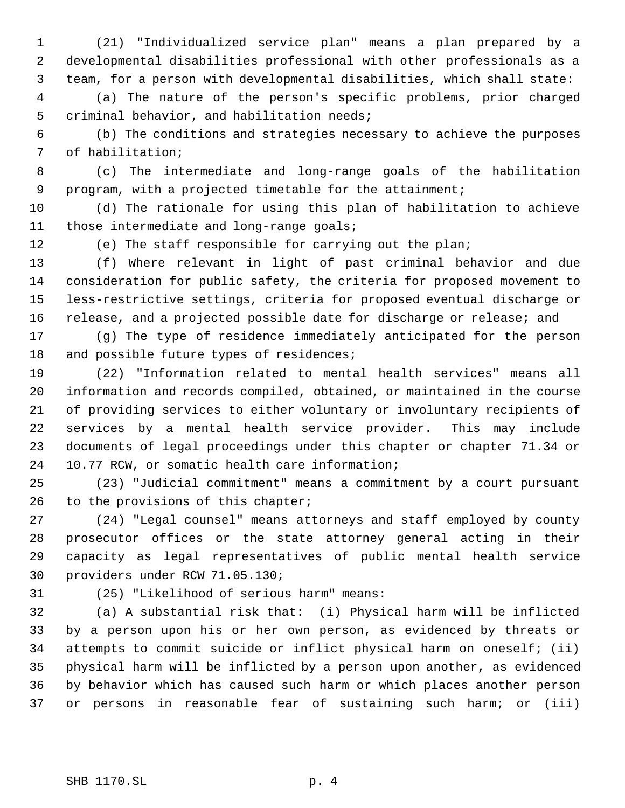(21) "Individualized service plan" means a plan prepared by a developmental disabilities professional with other professionals as a team, for a person with developmental disabilities, which shall state:

 (a) The nature of the person's specific problems, prior charged criminal behavior, and habilitation needs;

 (b) The conditions and strategies necessary to achieve the purposes of habilitation;

 (c) The intermediate and long-range goals of the habilitation program, with a projected timetable for the attainment;

 (d) The rationale for using this plan of habilitation to achieve those intermediate and long-range goals;

(e) The staff responsible for carrying out the plan;

 (f) Where relevant in light of past criminal behavior and due consideration for public safety, the criteria for proposed movement to less-restrictive settings, criteria for proposed eventual discharge or release, and a projected possible date for discharge or release; and

 (g) The type of residence immediately anticipated for the person 18 and possible future types of residences;

 (22) "Information related to mental health services" means all information and records compiled, obtained, or maintained in the course of providing services to either voluntary or involuntary recipients of services by a mental health service provider. This may include documents of legal proceedings under this chapter or chapter 71.34 or 10.77 RCW, or somatic health care information;

 (23) "Judicial commitment" means a commitment by a court pursuant 26 to the provisions of this chapter;

 (24) "Legal counsel" means attorneys and staff employed by county prosecutor offices or the state attorney general acting in their capacity as legal representatives of public mental health service providers under RCW 71.05.130;

(25) "Likelihood of serious harm" means:

 (a) A substantial risk that: (i) Physical harm will be inflicted by a person upon his or her own person, as evidenced by threats or attempts to commit suicide or inflict physical harm on oneself; (ii) physical harm will be inflicted by a person upon another, as evidenced by behavior which has caused such harm or which places another person or persons in reasonable fear of sustaining such harm; or (iii)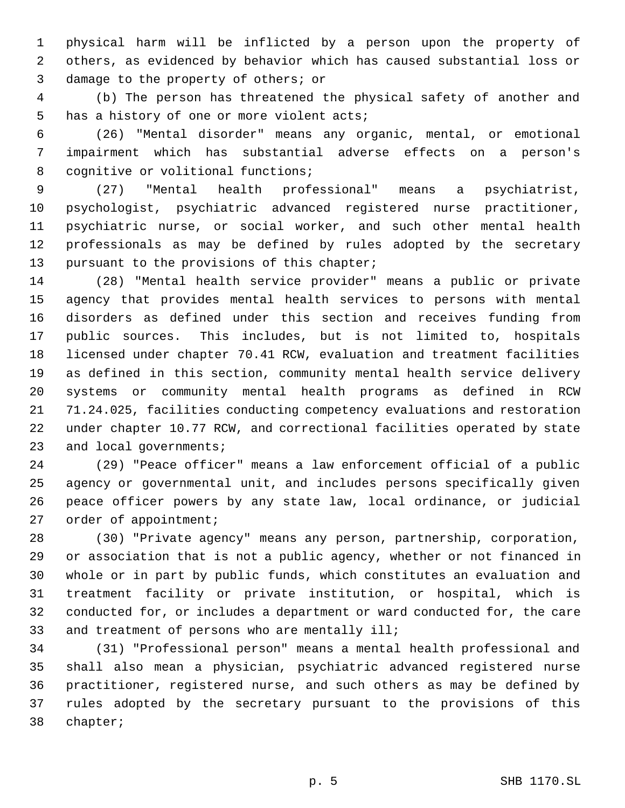physical harm will be inflicted by a person upon the property of others, as evidenced by behavior which has caused substantial loss or damage to the property of others; or

 (b) The person has threatened the physical safety of another and has a history of one or more violent acts;

 (26) "Mental disorder" means any organic, mental, or emotional impairment which has substantial adverse effects on a person's 8 cognitive or volitional functions;

 (27) "Mental health professional" means a psychiatrist, psychologist, psychiatric advanced registered nurse practitioner, psychiatric nurse, or social worker, and such other mental health professionals as may be defined by rules adopted by the secretary pursuant to the provisions of this chapter;

 (28) "Mental health service provider" means a public or private agency that provides mental health services to persons with mental disorders as defined under this section and receives funding from public sources. This includes, but is not limited to, hospitals licensed under chapter 70.41 RCW, evaluation and treatment facilities as defined in this section, community mental health service delivery systems or community mental health programs as defined in RCW 71.24.025, facilities conducting competency evaluations and restoration under chapter 10.77 RCW, and correctional facilities operated by state 23 and local governments;

 (29) "Peace officer" means a law enforcement official of a public agency or governmental unit, and includes persons specifically given peace officer powers by any state law, local ordinance, or judicial 27 order of appointment;

 (30) "Private agency" means any person, partnership, corporation, or association that is not a public agency, whether or not financed in whole or in part by public funds, which constitutes an evaluation and treatment facility or private institution, or hospital, which is conducted for, or includes a department or ward conducted for, the care 33 and treatment of persons who are mentally ill;

 (31) "Professional person" means a mental health professional and shall also mean a physician, psychiatric advanced registered nurse practitioner, registered nurse, and such others as may be defined by rules adopted by the secretary pursuant to the provisions of this chapter;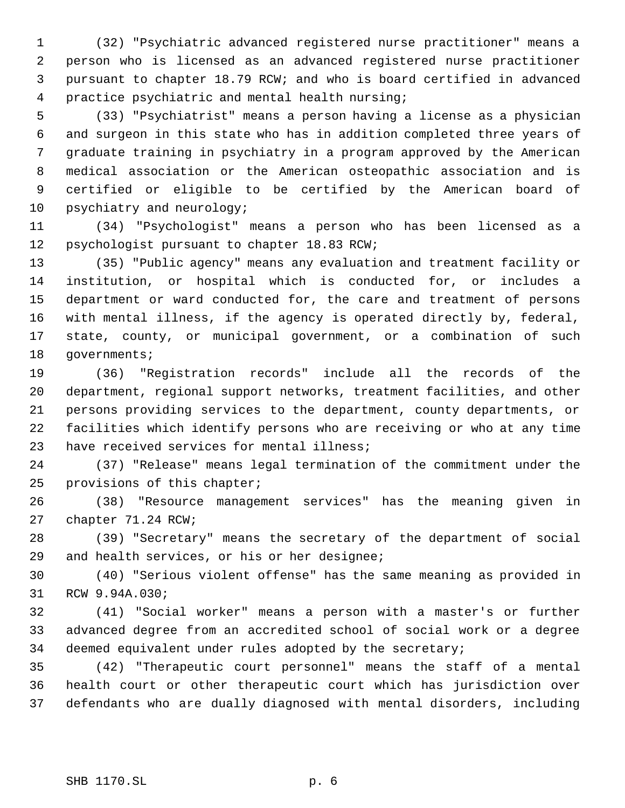(32) "Psychiatric advanced registered nurse practitioner" means a person who is licensed as an advanced registered nurse practitioner pursuant to chapter 18.79 RCW; and who is board certified in advanced practice psychiatric and mental health nursing;

 (33) "Psychiatrist" means a person having a license as a physician and surgeon in this state who has in addition completed three years of graduate training in psychiatry in a program approved by the American medical association or the American osteopathic association and is certified or eligible to be certified by the American board of 10 psychiatry and neurology;

 (34) "Psychologist" means a person who has been licensed as a psychologist pursuant to chapter 18.83 RCW;

 (35) "Public agency" means any evaluation and treatment facility or institution, or hospital which is conducted for, or includes a department or ward conducted for, the care and treatment of persons with mental illness, if the agency is operated directly by, federal, state, county, or municipal government, or a combination of such 18 governments;

 (36) "Registration records" include all the records of the department, regional support networks, treatment facilities, and other persons providing services to the department, county departments, or facilities which identify persons who are receiving or who at any time have received services for mental illness;

 (37) "Release" means legal termination of the commitment under the provisions of this chapter;

 (38) "Resource management services" has the meaning given in chapter 71.24 RCW;

 (39) "Secretary" means the secretary of the department of social and health services, or his or her designee;

 (40) "Serious violent offense" has the same meaning as provided in RCW 9.94A.030;

 (41) "Social worker" means a person with a master's or further advanced degree from an accredited school of social work or a degree deemed equivalent under rules adopted by the secretary;

 (42) "Therapeutic court personnel" means the staff of a mental health court or other therapeutic court which has jurisdiction over defendants who are dually diagnosed with mental disorders, including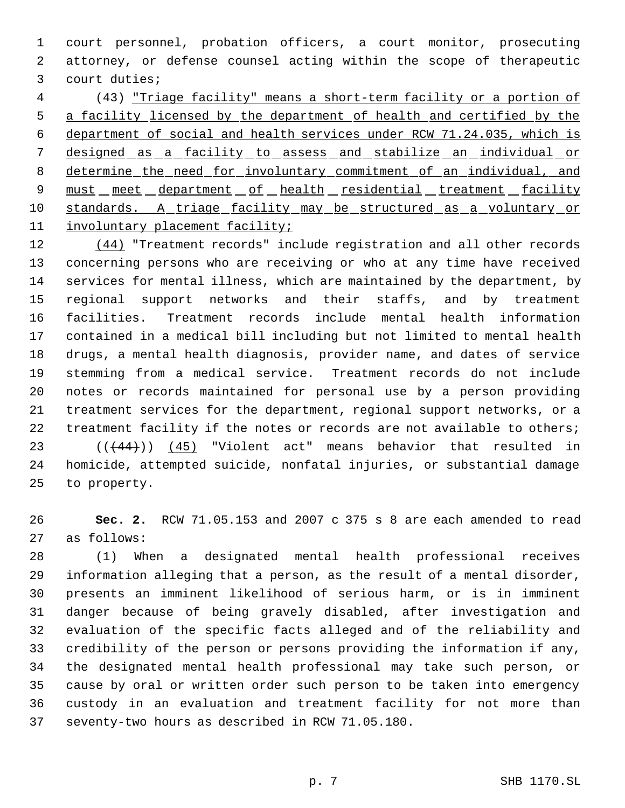court personnel, probation officers, a court monitor, prosecuting attorney, or defense counsel acting within the scope of therapeutic court duties;

 (43) "Triage facility" means a short-term facility or a portion of a facility licensed by the department of health and certified by the department of social and health services under RCW 71.24.035, which is 7 designed as a facility to assess and stabilize an individual or determine the need for involuntary commitment of an individual, and 9 must meet department of health residential treatment facility 10 standards. A triage facility may be structured as a voluntary or involuntary placement facility;

12 (44) "Treatment records" include registration and all other records concerning persons who are receiving or who at any time have received services for mental illness, which are maintained by the department, by regional support networks and their staffs, and by treatment facilities. Treatment records include mental health information contained in a medical bill including but not limited to mental health drugs, a mental health diagnosis, provider name, and dates of service stemming from a medical service. Treatment records do not include notes or records maintained for personal use by a person providing treatment services for the department, regional support networks, or a treatment facility if the notes or records are not available to others; 23 (( $(44)$ )) (45) "Violent act" means behavior that resulted in homicide, attempted suicide, nonfatal injuries, or substantial damage to property.

 **Sec. 2.** RCW 71.05.153 and 2007 c 375 s 8 are each amended to read as follows:

 (1) When a designated mental health professional receives information alleging that a person, as the result of a mental disorder, presents an imminent likelihood of serious harm, or is in imminent danger because of being gravely disabled, after investigation and evaluation of the specific facts alleged and of the reliability and credibility of the person or persons providing the information if any, the designated mental health professional may take such person, or cause by oral or written order such person to be taken into emergency custody in an evaluation and treatment facility for not more than seventy-two hours as described in RCW 71.05.180.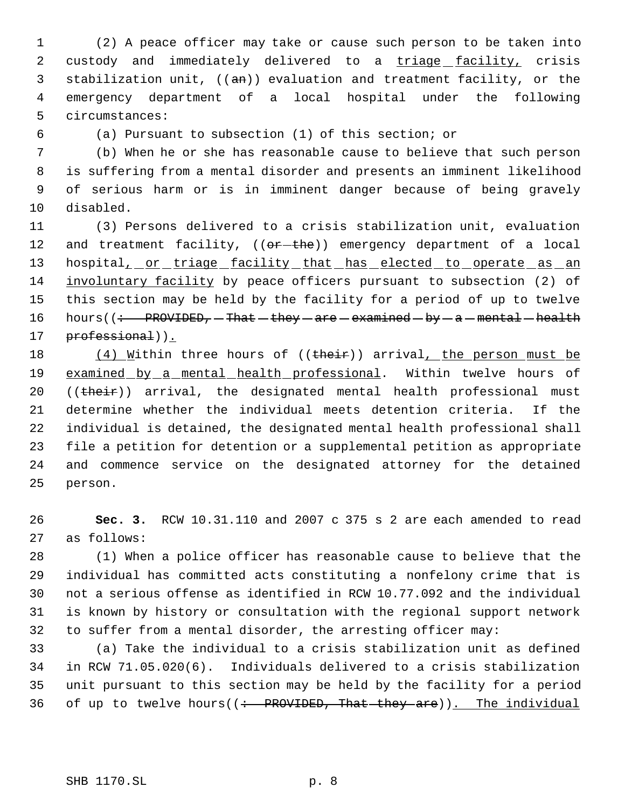(2) A peace officer may take or cause such person to be taken into 2 custody and immediately delivered to a triage facility, crisis 3 stabilization unit,  $((an))$  evaluation and treatment facility, or the emergency department of a local hospital under the following circumstances:

(a) Pursuant to subsection (1) of this section; or

 (b) When he or she has reasonable cause to believe that such person is suffering from a mental disorder and presents an imminent likelihood of serious harm or is in imminent danger because of being gravely disabled.

 (3) Persons delivered to a crisis stabilization unit, evaluation 12 and treatment facility,  $((e^2 + e^2))$  emergency department of a local 13 hospital<sub>1</sub> or triage facility that has elected to operate as an involuntary facility by peace officers pursuant to subsection (2) of this section may be held by the facility for a period of up to twelve 16 hours( $\left(\div\text{PROVIDED}, -\text{That} - \text{they}- \text{area} - \text{b}y - \text{a} - \text{mental} - \text{health}\right)$ 17 professional)).

18 (4) Within three hours of ((their)) arrival, the person must be 19 examined by a mental health professional. Within twelve hours of 20 ((their)) arrival, the designated mental health professional must determine whether the individual meets detention criteria. If the individual is detained, the designated mental health professional shall file a petition for detention or a supplemental petition as appropriate and commence service on the designated attorney for the detained person.

 **Sec. 3.** RCW 10.31.110 and 2007 c 375 s 2 are each amended to read as follows:

 (1) When a police officer has reasonable cause to believe that the individual has committed acts constituting a nonfelony crime that is not a serious offense as identified in RCW 10.77.092 and the individual is known by history or consultation with the regional support network to suffer from a mental disorder, the arresting officer may:

 (a) Take the individual to a crisis stabilization unit as defined in RCW 71.05.020(6). Individuals delivered to a crisis stabilization unit pursuant to this section may be held by the facility for a period 36 of up to twelve hours( $($  : PROVIDED, That they are)). The individual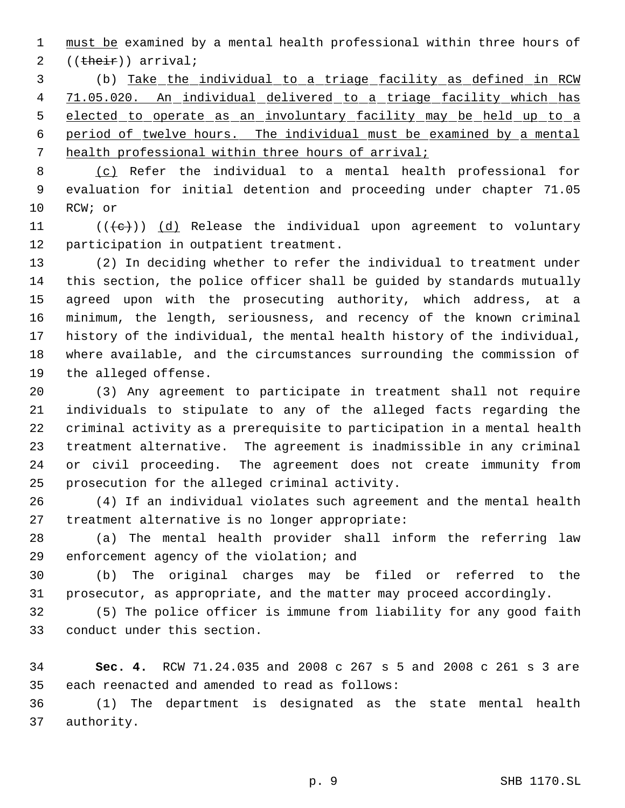1 must be examined by a mental health professional within three hours of 2 ((their)) arrival;

 (b) Take the individual to a triage facility as defined in RCW 71.05.020. An individual delivered to a triage facility which has elected to operate as an involuntary facility may be held up to a period of twelve hours. The individual must be examined by a mental health professional within three hours of arrival;

 (c) Refer the individual to a mental health professional for evaluation for initial detention and proceeding under chapter 71.05 RCW; or

11  $((\{e\}) \cap (\{d\})$  Release the individual upon agreement to voluntary participation in outpatient treatment.

 (2) In deciding whether to refer the individual to treatment under this section, the police officer shall be guided by standards mutually agreed upon with the prosecuting authority, which address, at a minimum, the length, seriousness, and recency of the known criminal history of the individual, the mental health history of the individual, where available, and the circumstances surrounding the commission of the alleged offense.

 (3) Any agreement to participate in treatment shall not require individuals to stipulate to any of the alleged facts regarding the criminal activity as a prerequisite to participation in a mental health treatment alternative. The agreement is inadmissible in any criminal or civil proceeding. The agreement does not create immunity from prosecution for the alleged criminal activity.

 (4) If an individual violates such agreement and the mental health treatment alternative is no longer appropriate:

 (a) The mental health provider shall inform the referring law enforcement agency of the violation; and

 (b) The original charges may be filed or referred to the prosecutor, as appropriate, and the matter may proceed accordingly.

 (5) The police officer is immune from liability for any good faith conduct under this section.

 **Sec. 4.** RCW 71.24.035 and 2008 c 267 s 5 and 2008 c 261 s 3 are each reenacted and amended to read as follows:

 (1) The department is designated as the state mental health authority.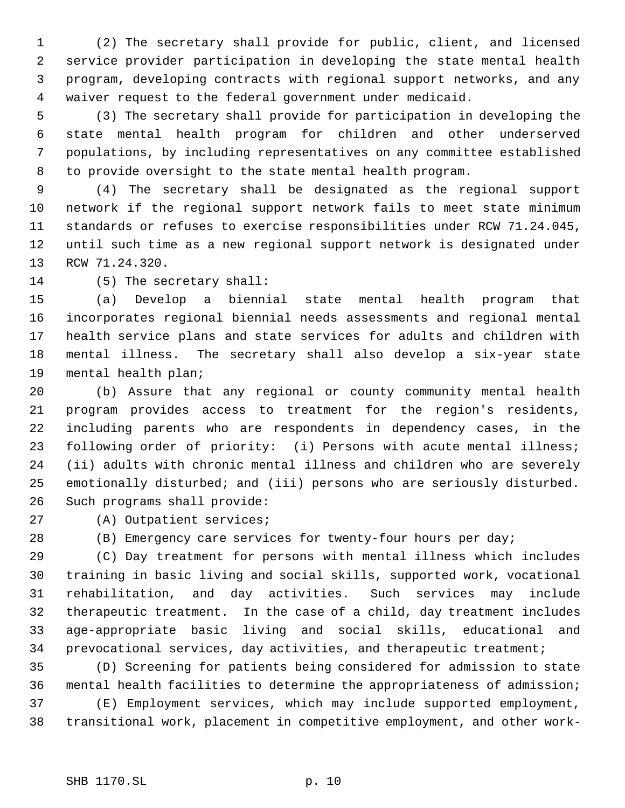(2) The secretary shall provide for public, client, and licensed service provider participation in developing the state mental health program, developing contracts with regional support networks, and any waiver request to the federal government under medicaid.

 (3) The secretary shall provide for participation in developing the state mental health program for children and other underserved populations, by including representatives on any committee established to provide oversight to the state mental health program.

 (4) The secretary shall be designated as the regional support network if the regional support network fails to meet state minimum standards or refuses to exercise responsibilities under RCW 71.24.045, until such time as a new regional support network is designated under RCW 71.24.320.

(5) The secretary shall:

 (a) Develop a biennial state mental health program that incorporates regional biennial needs assessments and regional mental health service plans and state services for adults and children with mental illness. The secretary shall also develop a six-year state mental health plan;

 (b) Assure that any regional or county community mental health program provides access to treatment for the region's residents, including parents who are respondents in dependency cases, in the following order of priority: (i) Persons with acute mental illness; (ii) adults with chronic mental illness and children who are severely emotionally disturbed; and (iii) persons who are seriously disturbed. Such programs shall provide:

(A) Outpatient services;

(B) Emergency care services for twenty-four hours per day;

 (C) Day treatment for persons with mental illness which includes training in basic living and social skills, supported work, vocational rehabilitation, and day activities. Such services may include therapeutic treatment. In the case of a child, day treatment includes age-appropriate basic living and social skills, educational and prevocational services, day activities, and therapeutic treatment;

 (D) Screening for patients being considered for admission to state mental health facilities to determine the appropriateness of admission; (E) Employment services, which may include supported employment, transitional work, placement in competitive employment, and other work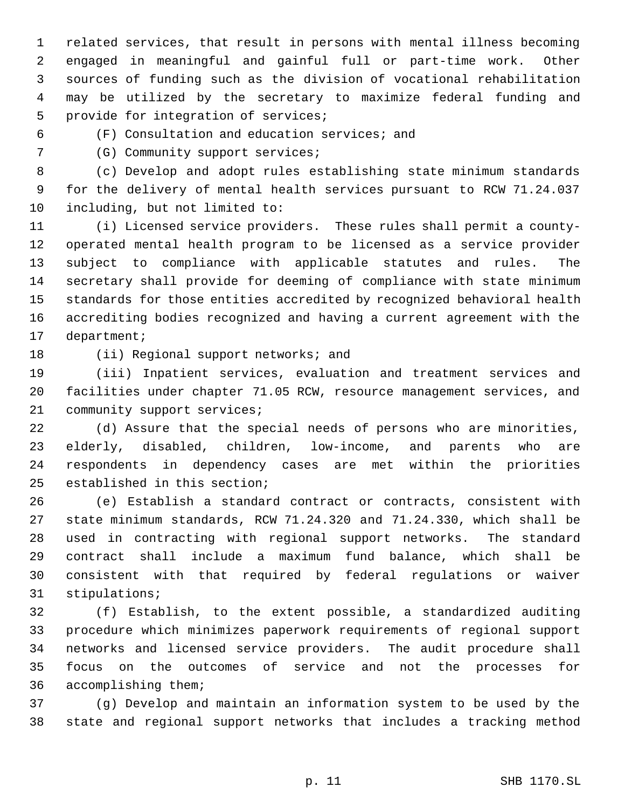related services, that result in persons with mental illness becoming engaged in meaningful and gainful full or part-time work. Other sources of funding such as the division of vocational rehabilitation may be utilized by the secretary to maximize federal funding and provide for integration of services;

(F) Consultation and education services; and

(G) Community support services;

 (c) Develop and adopt rules establishing state minimum standards for the delivery of mental health services pursuant to RCW 71.24.037 including, but not limited to:

 (i) Licensed service providers. These rules shall permit a county- operated mental health program to be licensed as a service provider subject to compliance with applicable statutes and rules. The secretary shall provide for deeming of compliance with state minimum standards for those entities accredited by recognized behavioral health accrediting bodies recognized and having a current agreement with the department;

18 (ii) Regional support networks; and

 (iii) Inpatient services, evaluation and treatment services and facilities under chapter 71.05 RCW, resource management services, and 21 community support services;

 (d) Assure that the special needs of persons who are minorities, elderly, disabled, children, low-income, and parents who are respondents in dependency cases are met within the priorities established in this section;

 (e) Establish a standard contract or contracts, consistent with state minimum standards, RCW 71.24.320 and 71.24.330, which shall be used in contracting with regional support networks. The standard contract shall include a maximum fund balance, which shall be consistent with that required by federal regulations or waiver stipulations;

 (f) Establish, to the extent possible, a standardized auditing procedure which minimizes paperwork requirements of regional support networks and licensed service providers. The audit procedure shall focus on the outcomes of service and not the processes for accomplishing them;

 (g) Develop and maintain an information system to be used by the state and regional support networks that includes a tracking method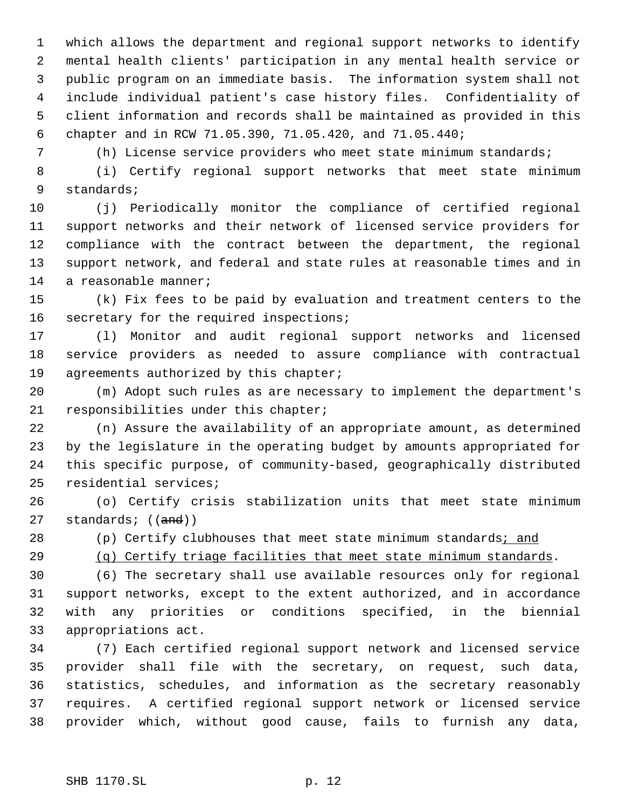which allows the department and regional support networks to identify mental health clients' participation in any mental health service or public program on an immediate basis. The information system shall not include individual patient's case history files. Confidentiality of client information and records shall be maintained as provided in this chapter and in RCW 71.05.390, 71.05.420, and 71.05.440;

(h) License service providers who meet state minimum standards;

 (i) Certify regional support networks that meet state minimum standards;

 (j) Periodically monitor the compliance of certified regional support networks and their network of licensed service providers for compliance with the contract between the department, the regional support network, and federal and state rules at reasonable times and in a reasonable manner;

 (k) Fix fees to be paid by evaluation and treatment centers to the secretary for the required inspections;

 (l) Monitor and audit regional support networks and licensed service providers as needed to assure compliance with contractual 19 agreements authorized by this chapter;

 (m) Adopt such rules as are necessary to implement the department's responsibilities under this chapter;

 (n) Assure the availability of an appropriate amount, as determined by the legislature in the operating budget by amounts appropriated for this specific purpose, of community-based, geographically distributed residential services;

 (o) Certify crisis stabilization units that meet state minimum 27 standards; ((and))

28 (p) Certify clubhouses that meet state minimum standards; and

(q) Certify triage facilities that meet state minimum standards.

 (6) The secretary shall use available resources only for regional support networks, except to the extent authorized, and in accordance with any priorities or conditions specified, in the biennial appropriations act.

 (7) Each certified regional support network and licensed service provider shall file with the secretary, on request, such data, statistics, schedules, and information as the secretary reasonably requires. A certified regional support network or licensed service provider which, without good cause, fails to furnish any data,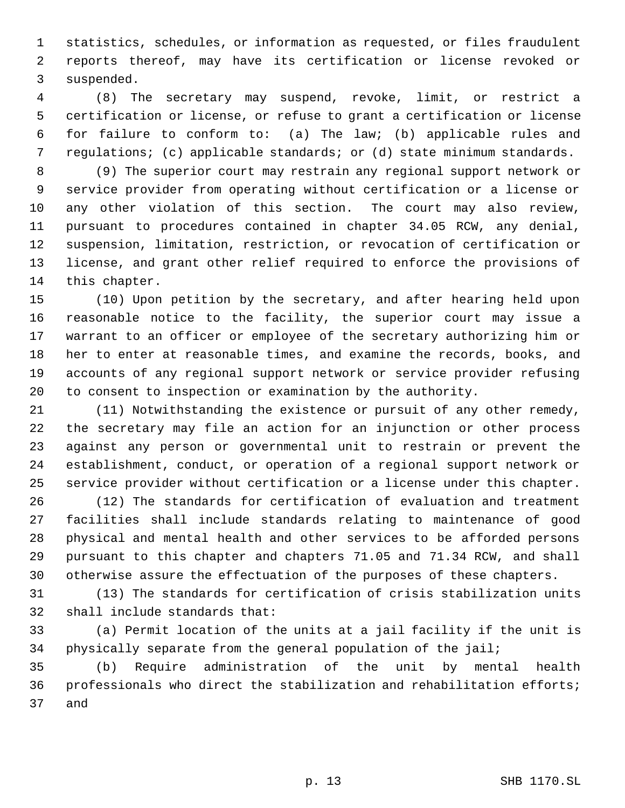statistics, schedules, or information as requested, or files fraudulent reports thereof, may have its certification or license revoked or suspended.

 (8) The secretary may suspend, revoke, limit, or restrict a certification or license, or refuse to grant a certification or license for failure to conform to: (a) The law; (b) applicable rules and regulations; (c) applicable standards; or (d) state minimum standards.

 (9) The superior court may restrain any regional support network or service provider from operating without certification or a license or any other violation of this section. The court may also review, pursuant to procedures contained in chapter 34.05 RCW, any denial, suspension, limitation, restriction, or revocation of certification or license, and grant other relief required to enforce the provisions of this chapter.

 (10) Upon petition by the secretary, and after hearing held upon reasonable notice to the facility, the superior court may issue a warrant to an officer or employee of the secretary authorizing him or her to enter at reasonable times, and examine the records, books, and accounts of any regional support network or service provider refusing to consent to inspection or examination by the authority.

 (11) Notwithstanding the existence or pursuit of any other remedy, the secretary may file an action for an injunction or other process against any person or governmental unit to restrain or prevent the establishment, conduct, or operation of a regional support network or service provider without certification or a license under this chapter.

 (12) The standards for certification of evaluation and treatment facilities shall include standards relating to maintenance of good physical and mental health and other services to be afforded persons pursuant to this chapter and chapters 71.05 and 71.34 RCW, and shall otherwise assure the effectuation of the purposes of these chapters.

 (13) The standards for certification of crisis stabilization units shall include standards that:

 (a) Permit location of the units at a jail facility if the unit is physically separate from the general population of the jail;

 (b) Require administration of the unit by mental health professionals who direct the stabilization and rehabilitation efforts; and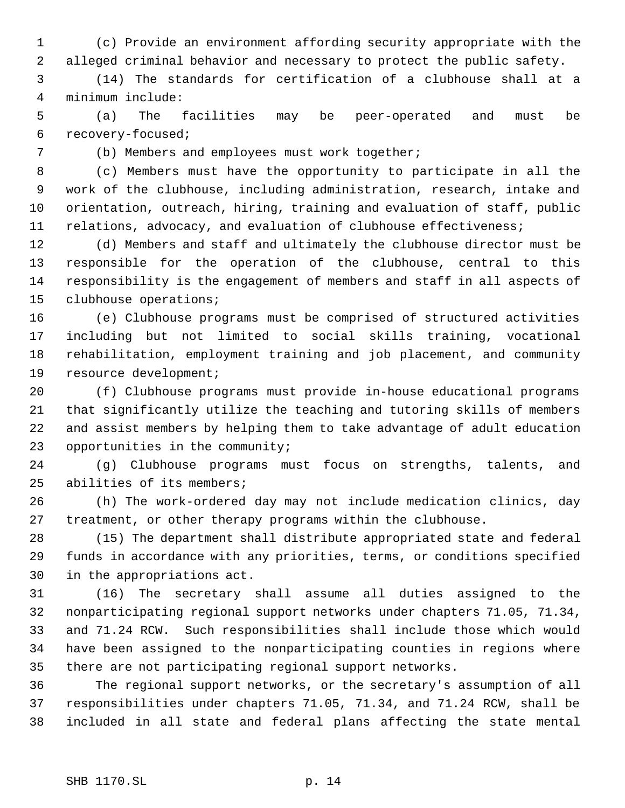(c) Provide an environment affording security appropriate with the alleged criminal behavior and necessary to protect the public safety.

 (14) The standards for certification of a clubhouse shall at a minimum include:

 (a) The facilities may be peer-operated and must be recovery-focused;

(b) Members and employees must work together;

 (c) Members must have the opportunity to participate in all the work of the clubhouse, including administration, research, intake and orientation, outreach, hiring, training and evaluation of staff, public relations, advocacy, and evaluation of clubhouse effectiveness;

 (d) Members and staff and ultimately the clubhouse director must be responsible for the operation of the clubhouse, central to this responsibility is the engagement of members and staff in all aspects of clubhouse operations;

 (e) Clubhouse programs must be comprised of structured activities including but not limited to social skills training, vocational rehabilitation, employment training and job placement, and community resource development;

 (f) Clubhouse programs must provide in-house educational programs that significantly utilize the teaching and tutoring skills of members and assist members by helping them to take advantage of adult education opportunities in the community;

 (g) Clubhouse programs must focus on strengths, talents, and abilities of its members;

 (h) The work-ordered day may not include medication clinics, day treatment, or other therapy programs within the clubhouse.

 (15) The department shall distribute appropriated state and federal funds in accordance with any priorities, terms, or conditions specified in the appropriations act.

 (16) The secretary shall assume all duties assigned to the nonparticipating regional support networks under chapters 71.05, 71.34, and 71.24 RCW. Such responsibilities shall include those which would have been assigned to the nonparticipating counties in regions where there are not participating regional support networks.

 The regional support networks, or the secretary's assumption of all responsibilities under chapters 71.05, 71.34, and 71.24 RCW, shall be included in all state and federal plans affecting the state mental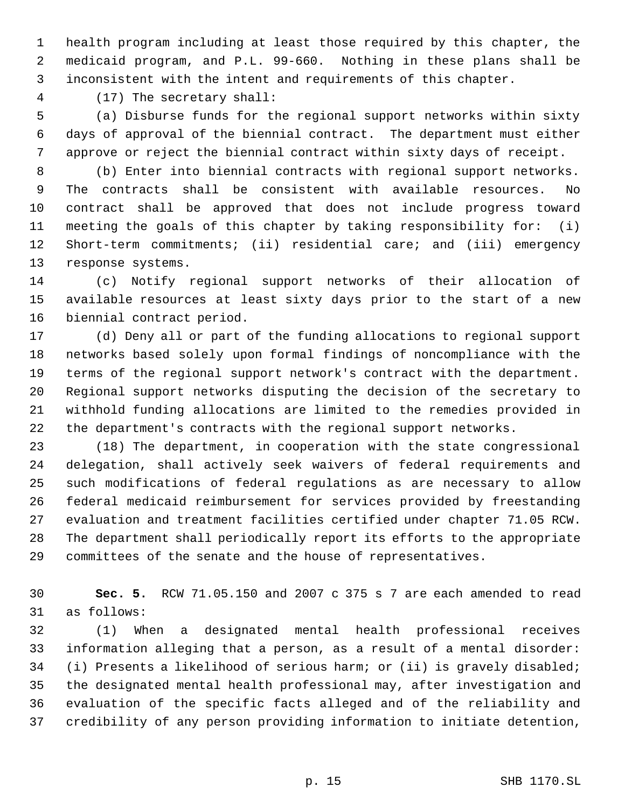health program including at least those required by this chapter, the medicaid program, and P.L. 99-660. Nothing in these plans shall be inconsistent with the intent and requirements of this chapter.

(17) The secretary shall:

 (a) Disburse funds for the regional support networks within sixty days of approval of the biennial contract. The department must either approve or reject the biennial contract within sixty days of receipt.

 (b) Enter into biennial contracts with regional support networks. The contracts shall be consistent with available resources. No contract shall be approved that does not include progress toward meeting the goals of this chapter by taking responsibility for: (i) Short-term commitments; (ii) residential care; and (iii) emergency response systems.

 (c) Notify regional support networks of their allocation of available resources at least sixty days prior to the start of a new biennial contract period.

 (d) Deny all or part of the funding allocations to regional support networks based solely upon formal findings of noncompliance with the terms of the regional support network's contract with the department. Regional support networks disputing the decision of the secretary to withhold funding allocations are limited to the remedies provided in the department's contracts with the regional support networks.

 (18) The department, in cooperation with the state congressional delegation, shall actively seek waivers of federal requirements and such modifications of federal regulations as are necessary to allow federal medicaid reimbursement for services provided by freestanding evaluation and treatment facilities certified under chapter 71.05 RCW. The department shall periodically report its efforts to the appropriate committees of the senate and the house of representatives.

 **Sec. 5.** RCW 71.05.150 and 2007 c 375 s 7 are each amended to read as follows:

 (1) When a designated mental health professional receives information alleging that a person, as a result of a mental disorder: (i) Presents a likelihood of serious harm; or (ii) is gravely disabled; the designated mental health professional may, after investigation and evaluation of the specific facts alleged and of the reliability and credibility of any person providing information to initiate detention,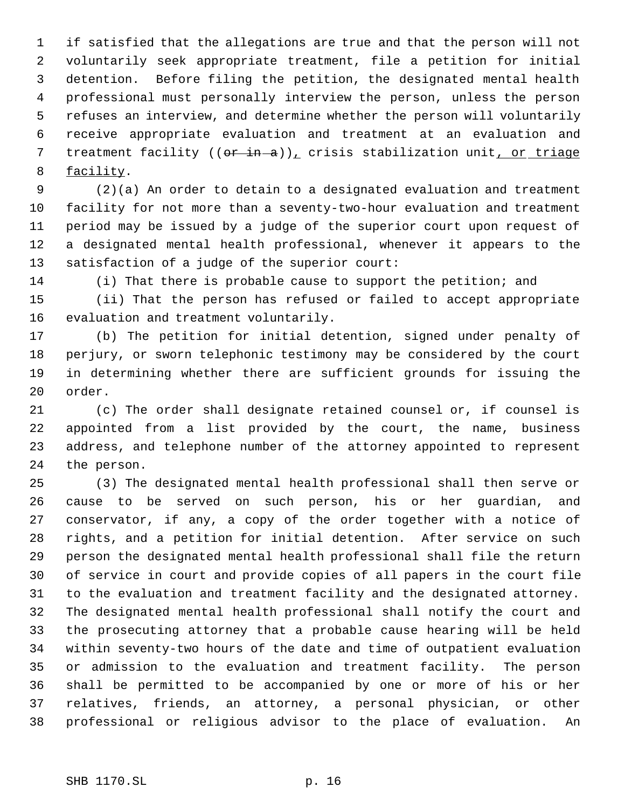if satisfied that the allegations are true and that the person will not voluntarily seek appropriate treatment, file a petition for initial detention. Before filing the petition, the designated mental health professional must personally interview the person, unless the person refuses an interview, and determine whether the person will voluntarily receive appropriate evaluation and treatment at an evaluation and 7 treatment facility  $((or in-a))_x$  crisis stabilization unit, or triage facility.

 (2)(a) An order to detain to a designated evaluation and treatment facility for not more than a seventy-two-hour evaluation and treatment period may be issued by a judge of the superior court upon request of a designated mental health professional, whenever it appears to the satisfaction of a judge of the superior court:

(i) That there is probable cause to support the petition; and

 (ii) That the person has refused or failed to accept appropriate evaluation and treatment voluntarily.

 (b) The petition for initial detention, signed under penalty of perjury, or sworn telephonic testimony may be considered by the court in determining whether there are sufficient grounds for issuing the order.

 (c) The order shall designate retained counsel or, if counsel is appointed from a list provided by the court, the name, business address, and telephone number of the attorney appointed to represent the person.

 (3) The designated mental health professional shall then serve or cause to be served on such person, his or her guardian, and conservator, if any, a copy of the order together with a notice of rights, and a petition for initial detention. After service on such person the designated mental health professional shall file the return of service in court and provide copies of all papers in the court file to the evaluation and treatment facility and the designated attorney. The designated mental health professional shall notify the court and the prosecuting attorney that a probable cause hearing will be held within seventy-two hours of the date and time of outpatient evaluation or admission to the evaluation and treatment facility. The person shall be permitted to be accompanied by one or more of his or her relatives, friends, an attorney, a personal physician, or other professional or religious advisor to the place of evaluation. An